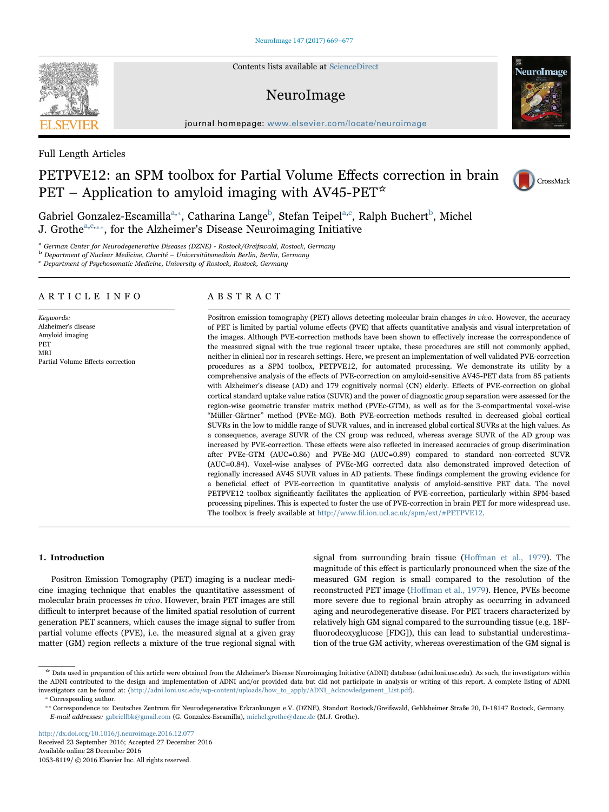Contents lists available at [ScienceDirect](http://www.sciencedirect.com/science/journal/10538119)

# NeuroImage

journal homepage: [www.elsevier.com/locate/neuroimage](http://www.elsevier.com/locate/neuroimage)

# Full Length Articles

# PETPVE12: an SPM toolbox for Partial Volume Effects correction in brain PET – Application to amyloid imaging with AV45-PET $\star$

Gabriel Gonzalez-Escamilla<sup>a,</sup>\*, Catharina Lange<sup>b</sup>[, Stefan Teipel](#page-0-2)<sup>[a,c](#page-0-0)</sup>[, Ralph Buchert](#page-0-3)<sup>b</sup>[, Michel](#page-0-2) J. Grothe<sup>[a,](#page-0-0)[c,](#page-0-3)\*\*</sup>[, for the Alzheimer's Disease Neuroimaging Initiative](#page-0-4)

<span id="page-0-0"></span><sup>a</sup> German Center for Neurodegenerative Diseases (DZNE) - Rostock/Greifswald, Rostock, Germany

<span id="page-0-2"></span> $\rm ^b$  Department of Nuclear Medicine, Charité – Universitätsmedizin Berlin, Berlin, Germany c Department of Psychosomatic Medicine, University of Rostock, Rostock, Germany

<span id="page-0-3"></span>

# ARTICLE INFO

Keywords: Alzheimer's disease Amyloid imaging PET MRI Partial Volume Effects correction

# ABSTRACT

Positron emission tomography (PET) allows detecting molecular brain changes in vivo. However, the accuracy of PET is limited by partial volume effects (PVE) that affects quantitative analysis and visual interpretation of the images. Although PVE-correction methods have been shown to effectively increase the correspondence of the measured signal with the true regional tracer uptake, these procedures are still not commonly applied, neither in clinical nor in research settings. Here, we present an implementation of well validated PVE-correction procedures as a SPM toolbox, PETPVE12, for automated processing. We demonstrate its utility by a comprehensive analysis of the effects of PVE-correction on amyloid-sensitive AV45-PET data from 85 patients with Alzheimer's disease (AD) and 179 cognitively normal (CN) elderly. Effects of PVE-correction on global cortical standard uptake value ratios (SUVR) and the power of diagnostic group separation were assessed for the region-wise geometric transfer matrix method (PVEc-GTM), as well as for the 3-compartmental voxel-wise "Müller-Gärtner" method (PVEc-MG). Both PVE-correction methods resulted in decreased global cortical SUVRs in the low to middle range of SUVR values, and in increased global cortical SUVRs at the high values. As a consequence, average SUVR of the CN group was reduced, whereas average SUVR of the AD group was increased by PVE-correction. These effects were also reflected in increased accuracies of group discrimination after PVEc-GTM (AUC=0.86) and PVEc-MG (AUC=0.89) compared to standard non-corrected SUVR (AUC=0.84). Voxel-wise analyses of PVEc-MG corrected data also demonstrated improved detection of regionally increased AV45 SUVR values in AD patients. These findings complement the growing evidence for a beneficial effect of PVE-correction in quantitative analysis of amyloid-sensitive PET data. The novel PETPVE12 toolbox significantly facilitates the application of PVE-correction, particularly within SPM-based processing pipelines. This is expected to foster the use of PVE-correction in brain PET for more widespread use. The toolbox is freely available at http://www.fi[l.ion.ucl.ac.uk/spm/ext/#PETPVE12](http://www.fil.ion.ucl.ac.uk/spm/ext/#PETPVE12).

## 1. Introduction

Positron Emission Tomography (PET) imaging is a nuclear medicine imaging technique that enables the quantitative assessment of molecular brain processes in vivo. However, brain PET images are still difficult to interpret because of the limited spatial resolution of current generation PET scanners, which causes the image signal to suffer from partial volume effects (PVE), i.e. the measured signal at a given gray matter (GM) region reflects a mixture of the true regional signal with

signal from surrounding brain tissue (Hoff[man et al., 1979](#page-7-0)). The magnitude of this effect is particularly pronounced when the size of the measured GM region is small compared to the resolution of the reconstructed PET image (Hoff[man et al., 1979\)](#page-7-0). Hence, PVEs become more severe due to regional brain atrophy as occurring in advanced aging and neurodegenerative disease. For PET tracers characterized by relatively high GM signal compared to the surrounding tissue (e.g. 18Ffluorodeoxyglucose [FDG]), this can lead to substantial underestimation of the true GM activity, whereas overestimation of the GM signal is

<http://dx.doi.org/10.1016/j.neuroimage.2016.12.077> Received 23 September 2016; Accepted 27 December 2016 Available online 28 December 2016

1053-8119/ © 2016 Elsevier Inc. All rights reserved.







<sup>☆</sup> Data used in preparation of this article were obtained from the Alzheimer's Disease Neuroimaging Initiative (ADNI) database (adni.loni.usc.edu). As such, the investigators within the ADNI contributed to the design and implementation of ADNI and/or provided data but did not participate in analysis or writing of this report. A complete listing of ADNI investigators can be found at: 〈http://adni.loni.usc.edu/wp-content/uploads/how\_to\_apply/ADNI\_Acknowledgement\_List.pdf〉. ⁎ Corresponding author.

<span id="page-0-1"></span>

<span id="page-0-4"></span><sup>⁎⁎</sup> Correspondence to: Deutsches Zentrum für Neurodegenerative Erkrankungen e.V. (DZNE), Standort Rostock/Greifswald, Gehlsheimer Straße 20, D-18147 Rostock, Germany. E-mail addresses: gabriellbk@gmail.com (G. Gonzalez-Escamilla), michel.grothe@dzne.de (M.J. Grothe).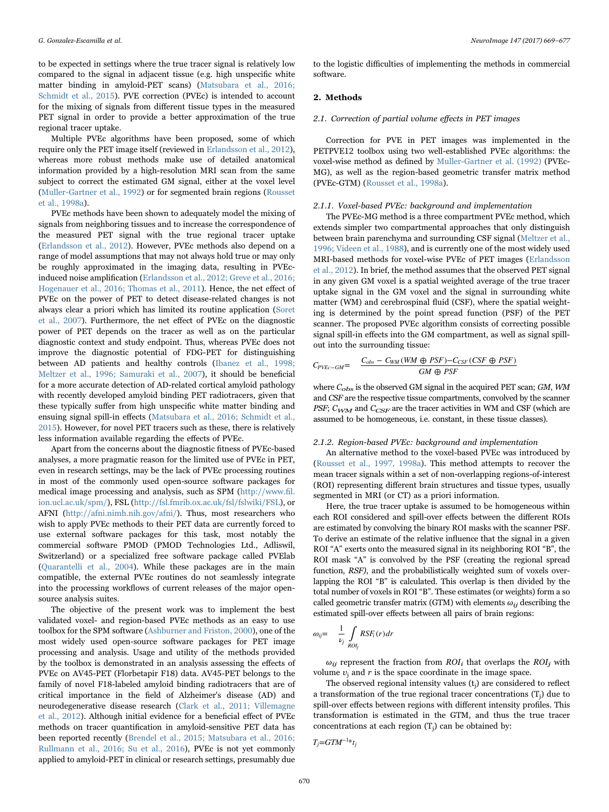to be expected in settings where the true tracer signal is relatively low compared to the signal in adjacent tissue (e.g. high unspecific white matter binding in amyloid-PET scans) ([Matsubara et al., 2016;](#page-7-1) [Schmidt et al., 2015](#page-7-1)). PVE correction (PVEc) is intended to account for the mixing of signals from different tissue types in the measured PET signal in order to provide a better approximation of the true regional tracer uptake.

Multiple PVEc algorithms have been proposed, some of which require only the PET image itself (reviewed in [Erlandsson et al., 2012\)](#page-7-2), whereas more robust methods make use of detailed anatomical information provided by a high-resolution MRI scan from the same subject to correct the estimated GM signal, either at the voxel level ([Muller-Gartner et al., 1992](#page-7-3)) or for segmented brain regions ([Rousset](#page-7-4) [et al., 1998a](#page-7-4)).

PVEc methods have been shown to adequately model the mixing of signals from neighboring tissues and to increase the correspondence of the measured PET signal with the true regional tracer uptake ([Erlandsson et al., 2012](#page-7-2)). However, PVEc methods also depend on a range of model assumptions that may not always hold true or may only be roughly approximated in the imaging data, resulting in PVEcinduced noise amplification ([Erlandsson et al., 2012; Greve et al., 2016;](#page-7-2) [Hogenauer et al., 2016; Thomas et al., 2011\)](#page-7-2). Hence, the net effect of PVEc on the power of PET to detect disease-related changes is not always clear a priori which has limited its routine application [\(Soret](#page-8-0) [et al., 2007\)](#page-8-0). Furthermore, the net effect of PVEc on the diagnostic power of PET depends on the tracer as well as on the particular diagnostic context and study endpoint. Thus, whereas PVEc does not improve the diagnostic potential of FDG-PET for distinguishing between AD patients and healthy controls ([Ibanez et al., 1998;](#page-7-5) [Meltzer et al., 1996; Samuraki et al., 2007\)](#page-7-5), it should be beneficial for a more accurate detection of AD-related cortical amyloid pathology with recently developed amyloid binding PET radiotracers, given that these typically suffer from high unspecific white matter binding and ensuing signal spill-in effects [\(Matsubara et al., 2016; Schmidt et al.,](#page-7-1) [2015\)](#page-7-1). However, for novel PET tracers such as these, there is relatively less information available regarding the effects of PVEc.

Apart from the concerns about the diagnostic fitness of PVEc-based analyses, a more pragmatic reason for the limited use of PVEc in PET, even in research settings, may be the lack of PVEc processing routines in most of the commonly used open-source software packages for medical image processing and analysis, such as SPM [\(http://www.](http://www.fil.ion.ucl.ac.uk/spm/)fil. [ion.ucl.ac.uk/spm/\)](http://www.fil.ion.ucl.ac.uk/spm/), FSL [\(http://fsl.fmrib.ox.ac.uk/fsl/fslwiki/FSL\)](http://fsl.fmrib.ox.ac.uk/fsl/fslwiki/FSL), or AFNI [\(http://afni.nimh.nih.gov/afni/](http://afni.nimh.nih.gov/afni/)). Thus, most researchers who wish to apply PVEc methods to their PET data are currently forced to use external software packages for this task, most notably the commercial software PMOD (PMOD Technologies Ltd., Adliswil, Switzerland) or a specialized free software package called PVElab ([Quarantelli et al., 2004](#page-7-6)). While these packages are in the main compatible, the external PVEc routines do not seamlessly integrate into the processing workflows of current releases of the major opensource analysis suites.

The objective of the present work was to implement the best validated voxel- and region-based PVEc methods as an easy to use toolbox for the SPM software ([Ashburner and Friston, 2000\)](#page-7-7), one of the most widely used open-source software packages for PET image processing and analysis. Usage and utility of the methods provided by the toolbox is demonstrated in an analysis assessing the effects of PVEc on AV45-PET (Florbetapir F18) data. AV45-PET belongs to the family of novel F18-labeled amyloid binding radiotracers that are of critical importance in the field of Alzheimer's disease (AD) and neurodegenerative disease research ([Clark et al., 2011; Villemagne](#page-7-8) [et al., 2012\)](#page-7-8). Although initial evidence for a beneficial effect of PVEc methods on tracer quantification in amyloid-sensitive PET data has been reported recently ([Brendel et al., 2015; Matsubara et al., 2016;](#page-7-9) [Rullmann et al., 2016; Su et al., 2016\)](#page-7-9), PVEc is not yet commonly applied to amyloid-PET in clinical or research settings, presumably due

to the logistic difficulties of implementing the methods in commercial software.

# 2. Methods

## 2.1. Correction of partial volume effects in PET images

Correction for PVE in PET images was implemented in the PETPVE12 toolbox using two well-established PVEc algorithms: the voxel-wise method as defined by [Muller-Gartner et al. \(1992\)](#page-7-3) (PVEc-MG), as well as the region-based geometric transfer matrix method (PVEc-GTM) [\(Rousset et al., 1998a](#page-7-4)).

#### 2.1.1. Voxel-based PVEc: backaround and implementation

The PVEc-MG method is a three compartment PVEc method, which extends simpler two compartmental approaches that only distinguish between brain parenchyma and surrounding CSF signal [\(Meltzer et al.,](#page-7-10) [1996; Videen et al., 1988](#page-7-10)), and is currently one of the most widely used MRI-based methods for voxel-wise PVEc of PET images ([Erlandsson](#page-7-2) [et al., 2012\)](#page-7-2). In brief, the method assumes that the observed PET signal in any given GM voxel is a spatial weighted average of the true tracer uptake signal in the GM voxel and the signal in surrounding white matter (WM) and cerebrospinal fluid (CSF), where the spatial weighting is determined by the point spread function (PSF) of the PET scanner. The proposed PVEc algorithm consists of correcting possible signal spill-in effects into the GM compartment, as well as signal spillout into the surrounding tissue:

$$
C_{PVEc-GM} = \frac{C_{obs} - C_{WM} (WM \oplus PSF) - C_{CSF} (CSF \oplus PSF)}{GM \oplus PSF}
$$

where  $C_{obs}$  is the observed GM signal in the acquired PET scan; GM, WM and CSF are the respective tissue compartments, convolved by the scanner PSF;  $C_{WM}$  and  $C_{CSF}$  are the tracer activities in WM and CSF (which are assumed to be homogeneous, i.e. constant, in these tissue classes).

# 2.1.2. Region-based PVEc: background and implementation

An alternative method to the voxel-based PVEc was introduced by ([Rousset et al., 1997, 1998a\)](#page-7-11). This method attempts to recover the mean tracer signals within a set of non-overlapping regions-of-interest (ROI) representing different brain structures and tissue types, usually segmented in MRI (or CT) as a priori information.

Here, the true tracer uptake is assumed to be homogeneous within each ROI considered and spill-over effects between the different ROIs are estimated by convolving the binary ROI masks with the scanner PSF. To derive an estimate of the relative influence that the signal in a given ROI "A" exerts onto the measured signal in its neighboring ROI "B", the ROI mask "A" is convolved by the PSF (creating the regional spread function, RSF), and the probabilistically weighted sum of voxels overlapping the ROI "B" is calculated. This overlap is then divided by the total number of voxels in ROI "B". These estimates (or weights) form a so called geometric transfer matrix (GTM) with elements  $\omega_{ij}$  describing the estimated spill-over effects between all pairs of brain regions:

$$
\omega_{ij} = \frac{1}{\nu_j} \int_{ROI_j} RSF_i(r) dr
$$

 $\omega_{ij}$  represent the fraction from  $ROI_i$  that overlaps the  $ROI_i$  with volume  $v_i$  and r is the space coordinate in the image space.

The observed regional intensity values  $(t<sub>i</sub>)$  are considered to reflect a transformation of the true regional tracer concentrations  $(T_i)$  due to spill-over effects between regions with different intensity profiles. This transformation is estimated in the GTM, and thus the true tracer concentrations at each region  $(T_i)$  can be obtained by:

$$
T_j = GTM^{-1*}t_j
$$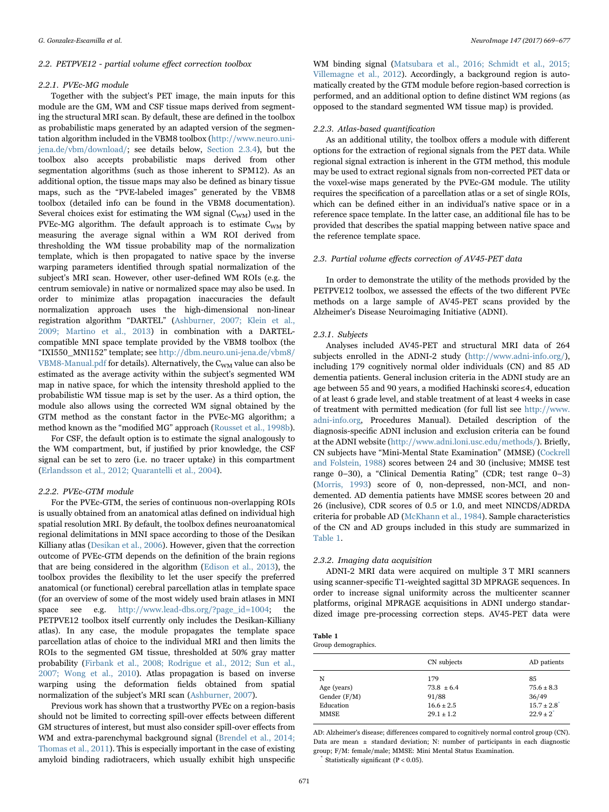#### 2.2. PETPVE12 - partial volume effect correction toolbox

#### 2.2.1. PVEc-MG module

Together with the subject's PET image, the main inputs for this module are the GM, WM and CSF tissue maps derived from segmenting the structural MRI scan. By default, these are defined in the toolbox as probabilistic maps generated by an adapted version of the segmentation algorithm included in the VBM8 toolbox ([http://www.neuro.uni](http://www.neuro.uni-jena.de/vbm/download/)[jena.de/vbm/download/](http://www.neuro.uni-jena.de/vbm/download/); see details below, [Section 2.3.4](#page-3-0)), but the toolbox also accepts probabilistic maps derived from other segmentation algorithms (such as those inherent to SPM12). As an additional option, the tissue maps may also be defined as binary tissue maps, such as the "PVE-labeled images" generated by the VBM8 toolbox (detailed info can be found in the VBM8 documentation). Several choices exist for estimating the WM signal  $(C_{WM})$  used in the PVEc-MG algorithm. The default approach is to estimate  $C_{WM}$  by measuring the average signal within a WM ROI derived from thresholding the WM tissue probability map of the normalization template, which is then propagated to native space by the inverse warping parameters identified through spatial normalization of the subject's MRI scan. However, other user-defined WM ROIs (e.g. the centrum semiovale) in native or normalized space may also be used. In order to minimize atlas propagation inaccuracies the default normalization approach uses the high-dimensional non-linear registration algorithm "DARTEL" ([Ashburner, 2007; Klein et al.,](#page-7-12) [2009; Martino et al., 2013\)](#page-7-12) in combination with a DARTELcompatible MNI space template provided by the VBM8 toolbox (the "IXI550\_MNI152" template; see [http://dbm.neuro.uni-jena.de/vbm8/](http://dbm.neuro.uni-jena.de/vbm8/VBM8-Manual.pdf) [VBM8-Manual.pdf](http://dbm.neuro.uni-jena.de/vbm8/VBM8-Manual.pdf) for details). Alternatively, the C<sub>WM</sub> value can also be estimated as the average activity within the subject's segmented WM map in native space, for which the intensity threshold applied to the probabilistic WM tissue map is set by the user. As a third option, the module also allows using the corrected WM signal obtained by the GTM method as the constant factor in the PVEc-MG algorithm; a method known as the "modified MG" approach [\(Rousset et al., 1998b\)](#page-7-13).

For CSF, the default option is to estimate the signal analogously to the WM compartment, but, if justified by prior knowledge, the CSF signal can be set to zero (i.e. no tracer uptake) in this compartment ([Erlandsson et al., 2012; Quarantelli et al., 2004\)](#page-7-2).

#### 2.2.2. PVEc-GTM module

For the PVEc-GTM, the series of continuous non-overlapping ROIs is usually obtained from an anatomical atlas defined on individual high spatial resolution MRI. By default, the toolbox defines neuroanatomical regional delimitations in MNI space according to those of the Desikan Killiany atlas ([Desikan et al., 2006\)](#page-7-14). However, given that the correction outcome of PVEc-GTM depends on the definition of the brain regions that are being considered in the algorithm ([Edison et al., 2013](#page-7-15)), the toolbox provides the flexibility to let the user specify the preferred anatomical (or functional) cerebral parcellation atlas in template space (for an overview of some of the most widely used brain atlases in MNI space see e.g. [http://www.lead-dbs.org/?page\\_id=1004](http://www.lead-dbs.org/?page_id=1004); the PETPVE12 toolbox itself currently only includes the Desikan-Killiany atlas). In any case, the module propagates the template space parcellation atlas of choice to the individual MRI and then limits the ROIs to the segmented GM tissue, thresholded at 50% gray matter probability [\(Firbank et al., 2008; Rodrigue et al., 2012; Sun et al.,](#page-7-16) [2007; Wong et al., 2010](#page-7-16)). Atlas propagation is based on inverse warping using the deformation fields obtained from spatial normalization of the subject's MRI scan [\(Ashburner, 2007\)](#page-7-12).

Previous work has shown that a trustworthy PVEc on a region-basis should not be limited to correcting spill-over effects between different GM structures of interest, but must also consider spill-over effects from WM and extra-parenchymal background signal ([Brendel et al., 2014;](#page-7-17) [Thomas et al., 2011](#page-7-17)). This is especially important in the case of existing amyloid binding radiotracers, which usually exhibit high unspecific

WM binding signal [\(Matsubara et al., 2016; Schmidt et al., 2015;](#page-7-1) [Villemagne et al., 2012\)](#page-7-1). Accordingly, a background region is automatically created by the GTM module before region-based correction is performed, and an additional option to define distinct WM regions (as opposed to the standard segmented WM tissue map) is provided.

#### 2.2.3. Atlas-based quantification

As an additional utility, the toolbox offers a module with different options for the extraction of regional signals from the PET data. While regional signal extraction is inherent in the GTM method, this module may be used to extract regional signals from non-corrected PET data or the voxel-wise maps generated by the PVEc-GM module. The utility requires the specification of a parcellation atlas or a set of single ROIs, which can be defined either in an individual's native space or in a reference space template. In the latter case, an additional file has to be provided that describes the spatial mapping between native space and the reference template space.

#### 2.3. Partial volume effects correction of AV45-PET data

In order to demonstrate the utility of the methods provided by the PETPVE12 toolbox, we assessed the effects of the two different PVEc methods on a large sample of AV45-PET scans provided by the Alzheimer's Disease Neuroimaging Initiative (ADNI).

#### 2.3.1. Subjects

Analyses included AV45-PET and structural MRI data of 264 subjects enrolled in the ADNI-2 study [\(http://www.adni-info.org/\)](http://www.adni-info.org/), including 179 cognitively normal older individuals (CN) and 85 AD dementia patients. General inclusion criteria in the ADNI study are an age between 55 and 90 years, a modified Hachinski score≤4, education of at least 6 grade level, and stable treatment of at least 4 weeks in case of treatment with permitted medication (for full list see [http://www.](http://www.adni-info.org) [adni-info.org,](http://www.adni-info.org) Procedures Manual). Detailed description of the diagnosis-specific ADNI inclusion and exclusion criteria can be found at the ADNI website [\(http://www.adni.loni.usc.edu/methods/](http://www.adni.loni.usc.edu/methods/)). Briefly, CN subjects have "Mini-Mental State Examination" (MMSE) ([Cockrell](#page-7-18) [and Folstein, 1988](#page-7-18)) scores between 24 and 30 (inclusive; MMSE test range 0–30), a "Clinical Dementia Rating" (CDR; test range 0–3) ([Morris, 1993\)](#page-7-19) score of 0, non-depressed, non-MCI, and nondemented. AD dementia patients have MMSE scores between 20 and 26 (inclusive), CDR scores of 0.5 or 1.0, and meet NINCDS/ADRDA criteria for probable AD ([McKhann et al., 1984](#page-7-20)). Sample characteristics of the CN and AD groups included in this study are summarized in [Table 1](#page-2-0).

#### 2.3.2. Imaging data acquisition

ADNI-2 MRI data were acquired on multiple 3 T MRI scanners using scanner-specific T1-weighted sagittal 3D MPRAGE sequences. In order to increase signal uniformity across the multicenter scanner platforms, original MPRAGE acquisitions in ADNI undergo standardized image pre-processing correction steps. AV45-PET data were

<span id="page-2-0"></span>

| Table 1 |                     |
|---------|---------------------|
|         | Group demographics. |

|                | CN subjects    | AD patients           |
|----------------|----------------|-----------------------|
| N              | 179            | 85                    |
| Age (years)    | $73.8 \pm 6.4$ | $75.6 \pm 8.3$        |
| Gender $(F/M)$ | 91/88          | 36/49                 |
| Education      | $16.6 \pm 2.5$ | $15.7 \pm 2.8$        |
| <b>MMSE</b>    | $29.1 + 1.2$   | $22.9+2$ <sup>*</sup> |

AD: Alzheimer's disease; differences compared to cognitively normal control group (CN). Data are mean  $\pm$  standard deviation; N: number of participants in each diagnostic group; F/M: female/male; MMSE: Mini Mental Status Examination.

Statistically significant ( $P < 0.05$ ).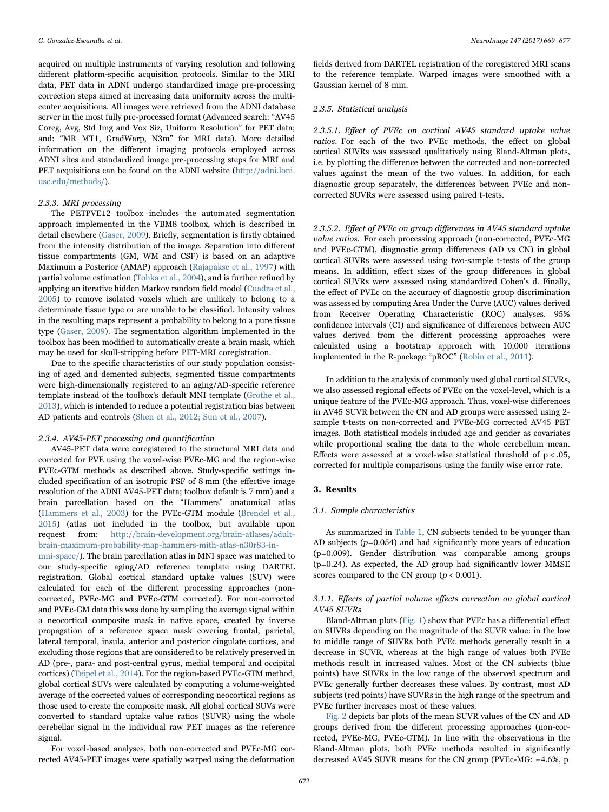acquired on multiple instruments of varying resolution and following different platform-specific acquisition protocols. Similar to the MRI data, PET data in ADNI undergo standardized image pre-processing correction steps aimed at increasing data uniformity across the multicenter acquisitions. All images were retrieved from the ADNI database server in the most fully pre-processed format (Advanced search: "AV45 Coreg, Avg, Std Img and Vox Siz, Uniform Resolution" for PET data; and: "MR\_MT1, GradWarp, N3m" for MRI data). More detailed information on the different imaging protocols employed across ADNI sites and standardized image pre-processing steps for MRI and PET acquisitions can be found on the ADNI website [\(http://adni.loni.](http://adni.loni.usc.edu/methods/) [usc.edu/methods/](http://adni.loni.usc.edu/methods/)).

# 2.3.3. MRI processing

The PETPVE12 toolbox includes the automated segmentation approach implemented in the VBM8 toolbox, which is described in detail elsewhere ([Gaser, 2009](#page-7-21)). Briefly, segmentation is firstly obtained from the intensity distribution of the image. Separation into different tissue compartments (GM, WM and CSF) is based on an adaptive Maximum a Posterior (AMAP) approach [\(Rajapakse et al., 1997](#page-7-22)) with partial volume estimation [\(Tohka et al., 2004](#page-8-1)), and is further refined by applying an iterative hidden Markov random field model ([Cuadra et al.,](#page-7-23) [2005\)](#page-7-23) to remove isolated voxels which are unlikely to belong to a determinate tissue type or are unable to be classified. Intensity values in the resulting maps represent a probability to belong to a pure tissue type [\(Gaser, 2009\)](#page-7-21). The segmentation algorithm implemented in the toolbox has been modified to automatically create a brain mask, which may be used for skull-stripping before PET-MRI coregistration.

Due to the specific characteristics of our study population consisting of aged and demented subjects, segmented tissue compartments were high-dimensionally registered to an aging/AD-specific reference template instead of the toolbox's default MNI template [\(Grothe et al.,](#page-7-24) [2013\)](#page-7-24), which is intended to reduce a potential registration bias between AD patients and controls ([Shen et al., 2012; Sun et al., 2007\)](#page-8-2).

#### <span id="page-3-0"></span>2.3.4. AV45-PET processing and quantification

AV45-PET data were coregistered to the structural MRI data and corrected for PVE using the voxel-wise PVEc-MG and the region-wise PVEc-GTM methods as described above. Study-specific settings included specification of an isotropic PSF of 8 mm (the effective image resolution of the ADNI AV45-PET data; toolbox default is 7 mm) and a brain parcellation based on the "Hammers" anatomical atlas ([Hammers et al., 2003\)](#page-7-25) for the PVEc-GTM module ([Brendel et al.,](#page-7-9) [2015\)](#page-7-9) (atlas not included in the toolbox, but available upon request from: [http://brain-development.org/brain-atlases/adult](http://brain-development.org/brain-atlases/adult-brain-maximum-probability-map-hammers-mith-atlas-n30r83-in-mni-space/)[brain-maximum-probability-map-hammers-mith-atlas-n30r83-in-](http://brain-development.org/brain-atlases/adult-brain-maximum-probability-map-hammers-mith-atlas-n30r83-in-mni-space/)

[mni-space/\)](http://brain-development.org/brain-atlases/adult-brain-maximum-probability-map-hammers-mith-atlas-n30r83-in-mni-space/). The brain parcellation atlas in MNI space was matched to our study-specific aging/AD reference template using DARTEL registration. Global cortical standard uptake values (SUV) were calculated for each of the different processing approaches (noncorrected, PVEc-MG and PVEc-GTM corrected). For non-corrected and PVEc-GM data this was done by sampling the average signal within a neocortical composite mask in native space, created by inverse propagation of a reference space mask covering frontal, parietal, lateral temporal, insula, anterior and posterior cingulate cortices, and excluding those regions that are considered to be relatively preserved in AD (pre-, para- and post-central gyrus, medial temporal and occipital cortices) ([Teipel et al., 2014](#page-8-3)). For the region-based PVEc-GTM method, global cortical SUVs were calculated by computing a volume-weighted average of the corrected values of corresponding neocortical regions as those used to create the composite mask. All global cortical SUVs were converted to standard uptake value ratios (SUVR) using the whole cerebellar signal in the individual raw PET images as the reference signal.

For voxel-based analyses, both non-corrected and PVEc-MG corrected AV45-PET images were spatially warped using the deformation

fields derived from DARTEL registration of the coregistered MRI scans to the reference template. Warped images were smoothed with a Gaussian kernel of 8 mm.

#### 2.3.5. Statistical analysis

2.3.5.1. Effect of PVEc on cortical AV45 standard uptake value ratios. For each of the two PVEc methods, the effect on global cortical SUVRs was assessed qualitatively using Bland-Altman plots, i.e. by plotting the difference between the corrected and non-corrected values against the mean of the two values. In addition, for each diagnostic group separately, the differences between PVEc and noncorrected SUVRs were assessed using paired t-tests.

2.3.5.2. Effect of PVEc on group differences in AV45 standard uptake value ratios. For each processing approach (non-corrected, PVEc-MG and PVEc-GTM), diagnostic group differences (AD vs CN) in global cortical SUVRs were assessed using two-sample t-tests of the group means. In addition, effect sizes of the group differences in global cortical SUVRs were assessed using standardized Cohen's d. Finally, the effect of PVEc on the accuracy of diagnostic group discrimination was assessed by computing Area Under the Curve (AUC) values derived from Receiver Operating Characteristic (ROC) analyses. 95% confidence intervals (CI) and significance of differences between AUC values derived from the different processing approaches were calculated using a bootstrap approach with 10,000 iterations implemented in the R-package "pROC" ([Robin et al., 2011](#page-7-26)).

In addition to the analysis of commonly used global cortical SUVRs, we also assessed regional effects of PVEc on the voxel-level, which is a unique feature of the PVEc-MG approach. Thus, voxel-wise differences in AV45 SUVR between the CN and AD groups were assessed using 2 sample t-tests on non-corrected and PVEc-MG corrected AV45 PET images. Both statistical models included age and gender as covariates while proportional scaling the data to the whole cerebellum mean. Effects were assessed at a voxel-wise statistical threshold of  $p < .05$ , corrected for multiple comparisons using the family wise error rate.

## 3. Results

### 3.1. Sample characteristics

As summarized in [Table 1](#page-2-0), CN subjects tended to be younger than AD subjects  $(p=0.054)$  and had significantly more years of education (p=0.009). Gender distribution was comparable among groups (p=0.24). As expected, the AD group had significantly lower MMSE scores compared to the CN group  $(p < 0.001)$ .

## 3.1.1. Effects of partial volume effects correction on global cortical AV45 SUVRs

Bland-Altman plots ([Fig. 1\)](#page-4-0) show that PVEc has a differential effect on SUVRs depending on the magnitude of the SUVR value: in the low to middle range of SUVRs both PVEc methods generally result in a decrease in SUVR, whereas at the high range of values both PVEc methods result in increased values. Most of the CN subjects (blue points) have SUVRs in the low range of the observed spectrum and PVEc generally further decreases these values. By contrast, most AD subjects (red points) have SUVRs in the high range of the spectrum and PVEc further increases most of these values.

[Fig. 2](#page-4-1) depicts bar plots of the mean SUVR values of the CN and AD groups derived from the different processing approaches (non-corrected, PVEc-MG, PVEc-GTM). In line with the observations in the Bland-Altman plots, both PVEc methods resulted in significantly decreased AV45 SUVR means for the CN group (PVEc-MG: −4.6%, p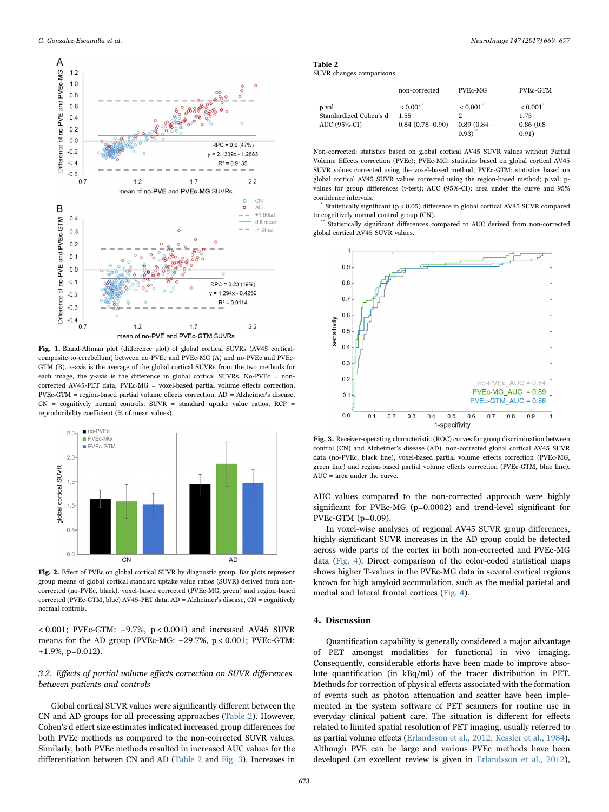<span id="page-4-0"></span>

Fig. 1. Bland-Altman plot (difference plot) of global cortical SUVRs (AV45 corticalcomposite-to-cerebellum) between no-PVEc and PVEc-MG (A) and no-PVEc and PVEc-GTM (B). x-axis is the average of the global cortical SUVRs from the two methods for each image, the y-axis is the difference in global cortical SUVRs. No-PVEc = noncorrected AV45-PET data, PVEc‐MG = voxel‐based partial volume effects correction,  $PVEC-GTM = region-based partial volume effects correction. AD = Alzheimer's disease,$  $CN =$  cognitively normal controls. SUVR = standard uptake value ratios, RCP = reproducibility coefficient (% of mean values).

<span id="page-4-1"></span>

Fig. 2. Effect of PVEc on global cortical SUVR by diagnostic group. Bar plots represent group means of global cortical standard uptake value ratios (SUVR) derived from noncorrected (no-PVEc, black), voxel-based corrected (PVEc-MG, green) and region-based corrected (PVEc-GTM, blue) AV45-PET data. AD = Alzheimer's disease, CN = cognitively normal controls.

< 0.001; PVEc-GTM: −9.7%, p < 0.001) and increased AV45 SUVR means for the AD group (PVEc-MG: +29.7%, p < 0.001; PVEc-GTM: +1.9%, p=0.012).

# 3.2. Effects of partial volume effects correction on SUVR differences between patients and controls

Global cortical SUVR values were significantly different between the CN and AD groups for all processing approaches [\(Table 2\)](#page-4-2). However, Cohen's d effect size estimates indicated increased group differences for both PVEc methods as compared to the non-corrected SUVR values. Similarly, both PVEc methods resulted in increased AUC values for the differentiation between CN and AD ([Table 2](#page-4-2) and [Fig. 3](#page-4-3)). Increases in

| Table 2 |                           |
|---------|---------------------------|
|         | SUVR changes comparisons. |

<span id="page-4-2"></span> $\mathbf T$ 

|                                                 | non-corrected                                       | PVEc-MG                                          | PVEc-GTM                                |
|-------------------------------------------------|-----------------------------------------------------|--------------------------------------------------|-----------------------------------------|
| p val<br>Standardized Cohen's d<br>AUC (95%-CI) | $< 0.001$ <sup>*</sup><br>1.55<br>$0.84(0.78-0.90)$ | < 0.001<br>$0.89(0.84 -$<br>$0.93$ <sup>**</sup> | < 0.001<br>1.75<br>$0.86(0.8-$<br>0.91) |

Non-corrected: statistics based on global cortical AV45 SUVR values without Partial Volume Effects correction (PVEc); PVEc-MG: statistics based on global cortical AV45 SUVR values corrected using the voxel-based method; PVEc-GTM: statistics based on global cortical AV45 SUVR values corrected using the region-based method; p val: pvalues for group differences (t-test); AUC (95%-CI): area under the curve and 95% confidence intervals.

Statistically significant ( $p < 0.05$ ) difference in global cortical AV45 SUVR compared to cognitively normal control group (CN).

Statistically significant differences compared to AUC derived from non-corrected global cortical AV45 SUVR values.

<span id="page-4-3"></span>

Fig. 3. Receiver-operating characteristic (ROC) curves for group discrimination between control (CN) and Alzheimer's disease (AD). non-corrected global cortical AV45 SUVR data (no-PVEc, black line), voxel-based partial volume effects correction (PVEc-MG, green line) and region-based partial volume effects correction (PVEc-GTM, blue line).  $AUC = area under the curve.$ 

AUC values compared to the non-corrected approach were highly significant for PVEc-MG (p=0.0002) and trend-level significant for PVEc-GTM (p=0.09).

In voxel-wise analyses of regional AV45 SUVR group differences, highly significant SUVR increases in the AD group could be detected across wide parts of the cortex in both non-corrected and PVEc-MG data ([Fig. 4](#page-5-0)). Direct comparison of the color-coded statistical maps shows higher T-values in the PVEc-MG data in several cortical regions known for high amyloid accumulation, such as the medial parietal and medial and lateral frontal cortices ([Fig. 4](#page-5-0)).

# 4. Discussion

Quantification capability is generally considered a major advantage of PET amongst modalities for functional in vivo imaging. Consequently, considerable efforts have been made to improve absolute quantification (in kBq/ml) of the tracer distribution in PET. Methods for correction of physical effects associated with the formation of events such as photon attenuation and scatter have been implemented in the system software of PET scanners for routine use in everyday clinical patient care. The situation is different for effects related to limited spatial resolution of PET imaging, usually referred to as partial volume effects ([Erlandsson et al., 2012; Kessler et al., 1984\)](#page-7-2). Although PVE can be large and various PVEc methods have been developed (an excellent review is given in [Erlandsson et al., 2012\)](#page-7-2),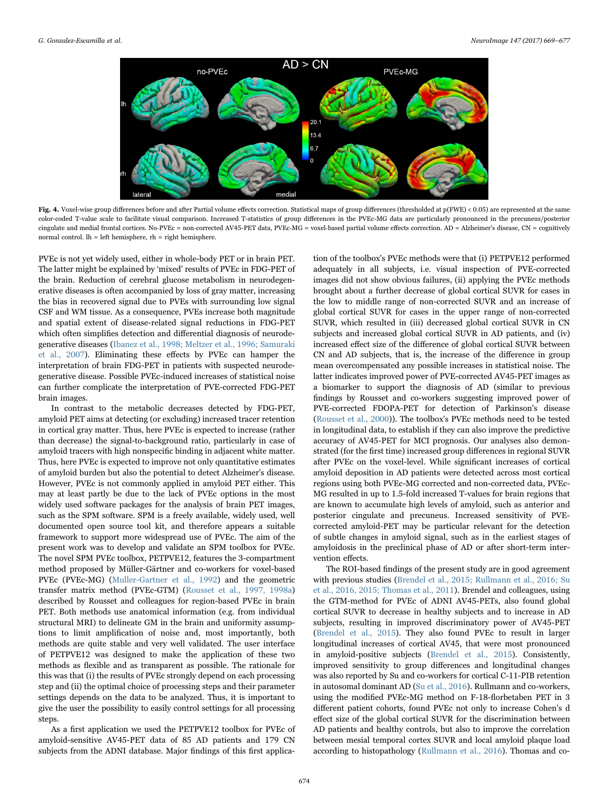<span id="page-5-0"></span>

Fig. 4. Voxel-wise group differences before and after Partial volume effects correction. Statistical maps of group differences (thresholded at p(FWE) < 0.05) are represented at the same color-coded T-value scale to facilitate visual comparison. Increased T-statistics of group differences in the PVEc-MG data are particularly pronounced in the precuneus/posterior cingulate and medial frontal cortices. No‐PVEc = non‐corrected AV45-PET data, PVEc‐MG = voxel‐based partial volume effects correction. AD = Alzheimer's disease, CN = cognitively normal control. lh = left hemisphere, rh = right hemisphere.

PVEc is not yet widely used, either in whole-body PET or in brain PET. The latter might be explained by 'mixed' results of PVEc in FDG-PET of the brain. Reduction of cerebral glucose metabolism in neurodegenerative diseases is often accompanied by loss of gray matter, increasing the bias in recovered signal due to PVEs with surrounding low signal CSF and WM tissue. As a consequence, PVEs increase both magnitude and spatial extent of disease-related signal reductions in FDG-PET which often simplifies detection and differential diagnosis of neurodegenerative diseases ([Ibanez et al., 1998; Meltzer et al., 1996; Samuraki](#page-7-5) [et al., 2007\)](#page-7-5). Eliminating these effects by PVEc can hamper the interpretation of brain FDG-PET in patients with suspected neurodegenerative disease. Possible PVEc-induced increases of statistical noise can further complicate the interpretation of PVE-corrected FDG-PET brain images.

In contrast to the metabolic decreases detected by FDG-PET, amyloid PET aims at detecting (or excluding) increased tracer retention in cortical gray matter. Thus, here PVEc is expected to increase (rather than decrease) the signal-to-background ratio, particularly in case of amyloid tracers with high nonspecific binding in adjacent white matter. Thus, here PVEc is expected to improve not only quantitative estimates of amyloid burden but also the potential to detect Alzheimer's disease. However, PVEc is not commonly applied in amyloid PET either. This may at least partly be due to the lack of PVEc options in the most widely used software packages for the analysis of brain PET images, such as the SPM software. SPM is a freely available, widely used, well documented open source tool kit, and therefore appears a suitable framework to support more widespread use of PVEc. The aim of the present work was to develop and validate an SPM toolbox for PVEc. The novel SPM PVEc toolbox, PETPVE12, features the 3-compartment method proposed by Müller-Gärtner and co-workers for voxel-based PVEc (PVEc-MG) ([Muller-Gartner et al., 1992\)](#page-7-3) and the geometric transfer matrix method (PVEc-GTM) ([Rousset et al., 1997, 1998a\)](#page-7-11) described by Rousset and colleagues for region-based PVEc in brain PET. Both methods use anatomical information (e.g. from individual structural MRI) to delineate GM in the brain and uniformity assumptions to limit amplification of noise and, most importantly, both methods are quite stable and very well validated. The user interface of PETPVE12 was designed to make the application of these two methods as flexible and as transparent as possible. The rationale for this was that (i) the results of PVEc strongly depend on each processing step and (ii) the optimal choice of processing steps and their parameter settings depends on the data to be analyzed. Thus, it is important to give the user the possibility to easily control settings for all processing steps.

As a first application we used the PETPVE12 toolbox for PVEc of amyloid-sensitive AV45-PET data of 85 AD patients and 179 CN subjects from the ADNI database. Major findings of this first application of the toolbox's PVEc methods were that (i) PETPVE12 performed adequately in all subjects, i.e. visual inspection of PVE-corrected images did not show obvious failures, (ii) applying the PVEc methods brought about a further decrease of global cortical SUVR for cases in the low to middle range of non-corrected SUVR and an increase of global cortical SUVR for cases in the upper range of non-corrected SUVR, which resulted in (iii) decreased global cortical SUVR in CN subjects and increased global cortical SUVR in AD patients, and (iv) increased effect size of the difference of global cortical SUVR between CN and AD subjects, that is, the increase of the difference in group mean overcompensated any possible increases in statistical noise. The latter indicates improved power of PVE-corrected AV45-PET images as a biomarker to support the diagnosis of AD (similar to previous findings by Rousset and co-workers suggesting improved power of PVE-corrected FDOPA-PET for detection of Parkinson's disease ([Rousset et al., 2000\)](#page-7-27)). The toolbox's PVEc methods need to be tested in longitudinal data, to establish if they can also improve the predictive accuracy of AV45-PET for MCI prognosis. Our analyses also demonstrated (for the first time) increased group differences in regional SUVR after PVEc on the voxel-level. While significant increases of cortical amyloid deposition in AD patients were detected across most cortical regions using both PVEc-MG corrected and non-corrected data, PVEc-MG resulted in up to 1.5-fold increased T-values for brain regions that are known to accumulate high levels of amyloid, such as anterior and posterior cingulate and precuneus. Increased sensitivity of PVEcorrected amyloid-PET may be particular relevant for the detection of subtle changes in amyloid signal, such as in the earliest stages of amyloidosis in the preclinical phase of AD or after short-term intervention effects.

The ROI-based findings of the present study are in good agreement with previous studies ([Brendel et al., 2015; Rullmann et al., 2016; Su](#page-7-9) [et al., 2016, 2015; Thomas et al., 2011](#page-7-9)). Brendel and colleagues, using the GTM-method for PVEc of ADNI AV45-PETs, also found global cortical SUVR to decrease in healthy subjects and to increase in AD subjects, resulting in improved discriminatory power of AV45-PET ([Brendel et al., 2015](#page-7-9)). They also found PVEc to result in larger longitudinal increases of cortical AV45, that were most pronounced in amyloid-positive subjects [\(Brendel et al., 2015](#page-7-9)). Consistently, improved sensitivity to group differences and longitudinal changes was also reported by Su and co-workers for cortical C-11-PIB retention in autosomal dominant AD ([Su et al., 2016\)](#page-8-4). Rullmann and co-workers, using the modified PVEc-MG method on F-18-florbetaben PET in 3 different patient cohorts, found PVEc not only to increase Cohen's d effect size of the global cortical SUVR for the discrimination between AD patients and healthy controls, but also to improve the correlation between mesial temporal cortex SUVR and local amyloid plaque load according to histopathology [\(Rullmann et al., 2016](#page-8-5)). Thomas and co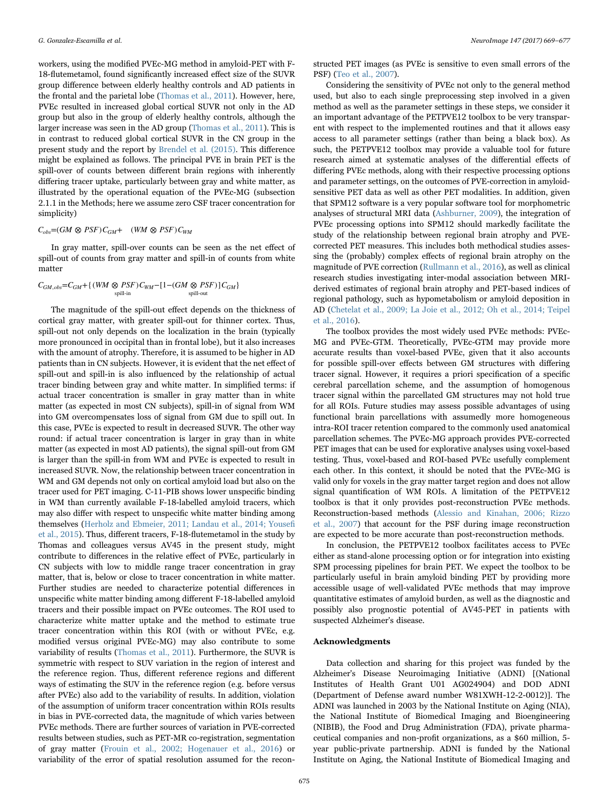workers, using the modified PVEc-MG method in amyloid-PET with F-18-flutemetamol, found significantly increased effect size of the SUVR group difference between elderly healthy controls and AD patients in the frontal and the parietal lobe ([Thomas et al., 2011](#page-8-6)). However, here, PVEc resulted in increased global cortical SUVR not only in the AD group but also in the group of elderly healthy controls, although the larger increase was seen in the AD group ([Thomas et al., 2011\)](#page-8-6). This is in contrast to reduced global cortical SUVR in the CN group in the present study and the report by [Brendel et al. \(2015\).](#page-7-9) This difference might be explained as follows. The principal PVE in brain PET is the spill-over of counts between different brain regions with inherently differing tracer uptake, particularly between gray and white matter, as illustrated by the operational equation of the PVEc-MG (subsection 2.1.1 in the Methods; here we assume zero CSF tracer concentration for simplicity)

## $C_{obs} = (GM \otimes PSF)C_{GM} + (WM \otimes PSF)C_{WM}$

In gray matter, spill-over counts can be seen as the net effect of spill-out of counts from gray matter and spill-in of counts from white matter

$$
C_{GM,obs} = C_{GM} + \{ (WM \otimes PSF) C_{WM} - [1 - (GM \otimes PSF)] C_{GM} \}
$$
  
split-in  
split-out  
split-out

The magnitude of the spill-out effect depends on the thickness of cortical gray matter, with greater spill-out for thinner cortex. Thus, spill-out not only depends on the localization in the brain (typically more pronounced in occipital than in frontal lobe), but it also increases with the amount of atrophy. Therefore, it is assumed to be higher in AD patients than in CN subjects. However, it is evident that the net effect of spill-out and spill-in is also influenced by the relationship of actual tracer binding between gray and white matter. In simplified terms: if actual tracer concentration is smaller in gray matter than in white matter (as expected in most CN subjects), spill-in of signal from WM into GM overcompensates loss of signal from GM due to spill out. In this case, PVEc is expected to result in decreased SUVR. The other way round: if actual tracer concentration is larger in gray than in white matter (as expected in most AD patients), the signal spill-out from GM is larger than the spill-in from WM and PVEc is expected to result in increased SUVR. Now, the relationship between tracer concentration in WM and GM depends not only on cortical amyloid load but also on the tracer used for PET imaging. C-11-PIB shows lower unspecific binding in WM than currently available F-18-labelled amyloid tracers, which may also differ with respect to unspecific white matter binding among themselves [\(Herholz and Ebmeier, 2011; Landau et al., 2014; Youse](#page-7-28)fi [et al., 2015](#page-7-28)). Thus, different tracers, F-18-flutemetamol in the study by Thomas and colleagues versus AV45 in the present study, might contribute to differences in the relative effect of PVEc, particularly in CN subjects with low to middle range tracer concentration in gray matter, that is, below or close to tracer concentration in white matter. Further studies are needed to characterize potential differences in unspecific white matter binding among different F-18-labelled amyloid tracers and their possible impact on PVEc outcomes. The ROI used to characterize white matter uptake and the method to estimate true tracer concentration within this ROI (with or without PVEc, e.g. modified versus original PVEc-MG) may also contribute to some variability of results ([Thomas et al., 2011\)](#page-8-6). Furthermore, the SUVR is symmetric with respect to SUV variation in the region of interest and the reference region. Thus, different reference regions and different ways of estimating the SUV in the reference region (e.g. before versus after PVEc) also add to the variability of results. In addition, violation of the assumption of uniform tracer concentration within ROIs results in bias in PVE-corrected data, the magnitude of which varies between PVEc methods. There are further sources of variation in PVE-corrected results between studies, such as PET-MR co-registration, segmentation of gray matter ([Frouin et al., 2002; Hogenauer et al., 2016](#page-7-29)) or variability of the error of spatial resolution assumed for the recon-

structed PET images (as PVEc is sensitive to even small errors of the PSF) [\(Teo et al., 2007\)](#page-8-7).

Considering the sensitivity of PVEc not only to the general method used, but also to each single preprocessing step involved in a given method as well as the parameter settings in these steps, we consider it an important advantage of the PETPVE12 toolbox to be very transparent with respect to the implemented routines and that it allows easy access to all parameter settings (rather than being a black box). As such, the PETPVE12 toolbox may provide a valuable tool for future research aimed at systematic analyses of the differential effects of differing PVEc methods, along with their respective processing options and parameter settings, on the outcomes of PVE-correction in amyloidsensitive PET data as well as other PET modalities. In addition, given that SPM12 software is a very popular software tool for morphometric analyses of structural MRI data [\(Ashburner, 2009\)](#page-7-30), the integration of PVEc processing options into SPM12 should markedly facilitate the study of the relationship between regional brain atrophy and PVEcorrected PET measures. This includes both methodical studies assessing the (probably) complex effects of regional brain atrophy on the magnitude of PVE correction ([Rullmann et al., 2016](#page-8-5)), as well as clinical research studies investigating inter-modal association between MRIderived estimates of regional brain atrophy and PET-based indices of regional pathology, such as hypometabolism or amyloid deposition in AD ([Chetelat et al., 2009; La Joie et al., 2012; Oh et al., 2014; Teipel](#page-7-31) [et al., 2016](#page-7-31)).

The toolbox provides the most widely used PVEc methods: PVEc-MG and PVEc-GTM. Theoretically, PVEc-GTM may provide more accurate results than voxel-based PVEc, given that it also accounts for possible spill-over effects between GM structures with differing tracer signal. However, it requires a priori specification of a specific cerebral parcellation scheme, and the assumption of homogenous tracer signal within the parcellated GM structures may not hold true for all ROIs. Future studies may assess possible advantages of using functional brain parcellations with assumedly more homogeneous intra-ROI tracer retention compared to the commonly used anatomical parcellation schemes. The PVEc-MG approach provides PVE-corrected PET images that can be used for explorative analyses using voxel-based testing. Thus, voxel-based and ROI-based PVEc usefully complement each other. In this context, it should be noted that the PVEc-MG is valid only for voxels in the gray matter target region and does not allow signal quantification of WM ROIs. A limitation of the PETPVE12 toolbox is that it only provides post-reconstruction PVEc methods. Reconstruction-based methods [\(Alessio and Kinahan, 2006; Rizzo](#page-7-32) [et al., 2007\)](#page-7-32) that account for the PSF during image reconstruction are expected to be more accurate than post-reconstruction methods.

In conclusion, the PETPVE12 toolbox facilitates access to PVEc either as stand-alone processing option or for integration into existing SPM processing pipelines for brain PET. We expect the toolbox to be particularly useful in brain amyloid binding PET by providing more accessible usage of well-validated PVEc methods that may improve quantitative estimates of amyloid burden, as well as the diagnostic and possibly also prognostic potential of AV45-PET in patients with suspected Alzheimer's disease.

## Acknowledgments

Data collection and sharing for this project was funded by the Alzheimer's Disease Neuroimaging Initiative (ADNI) [(National Institutes of Health Grant U01 AG024904) and DOD ADNI (Department of Defense award number W81XWH-12-2-0012)]. The ADNI was launched in 2003 by the National Institute on Aging (NIA), the National Institute of Biomedical Imaging and Bioengineering (NIBIB), the Food and Drug Administration (FDA), private pharmaceutical companies and non-profit organizations, as a \$60 million, 5 year public-private partnership. ADNI is funded by the National Institute on Aging, the National Institute of Biomedical Imaging and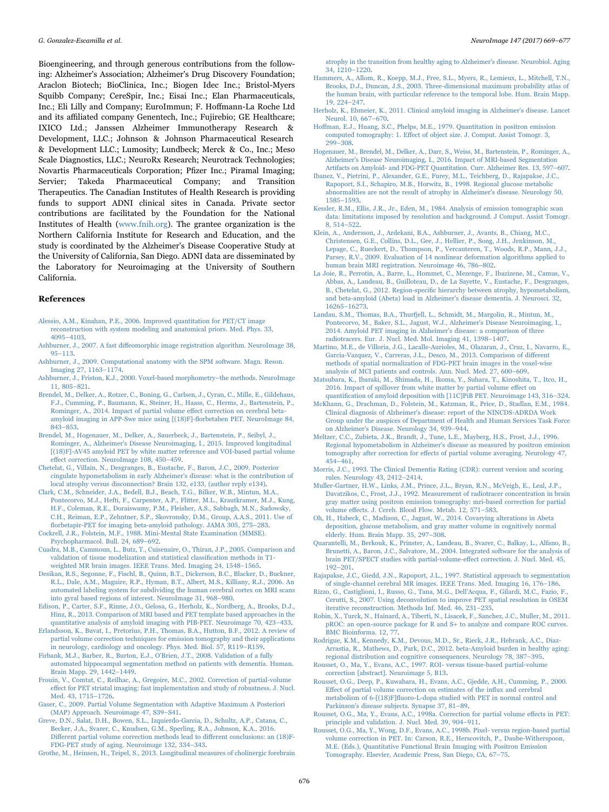Bioengineering, and through generous contributions from the following: Alzheimer's Association; Alzheimer's Drug Discovery Foundation; Araclon Biotech; BioClinica, Inc.; Biogen Idec Inc.; Bristol-Myers Squibb Company; CereSpir, Inc.; Eisai Inc.; Elan Pharmaceuticals, Inc.; Eli Lilly and Company; EuroImmun; F. Hoffmann-La Roche Ltd and its affiliated company Genentech, Inc.; Fujirebio; GE Healthcare; IXICO Ltd.; Janssen Alzheimer Immunotherapy Research & Development, LLC.; Johnson & Johnson Pharmaceutical Research & Development LLC.; Lumosity; Lundbeck; Merck & Co., Inc.; Meso Scale Diagnostics, LLC.; NeuroRx Research; Neurotrack Technologies; Novartis Pharmaceuticals Corporation; Pfizer Inc.; Piramal Imaging; Servier; Takeda Pharmaceutical Company; and Transition Therapeutics. The Canadian Institutes of Health Research is providing funds to support ADNI clinical sites in Canada. Private sector contributions are facilitated by the Foundation for the National Institutes of Health [\(www.fnih.org](http://www.fnih.org)). The grantee organization is the Northern California Institute for Research and Education, and the study is coordinated by the Alzheimer's Disease Cooperative Study at the University of California, San Diego. ADNI data are disseminated by the Laboratory for Neuroimaging at the University of Southern California.

#### References

- <span id="page-7-32"></span>[Alessio, A.M., Kinahan, P.E., 2006. Improved quantitation for PET/CT image](http://refhub.elsevier.com/S1053-16)30802-sbref1) [reconstruction with system modeling and anatomical priors. Med. Phys. 33,](http://refhub.elsevier.com/S1053-16)30802-sbref1) 4095–[4103](http://refhub.elsevier.com/S1053-16)30802-sbref1).
- <span id="page-7-12"></span>Ashburner, J., 2007. A fast diff[eomorphic image registration algorithm. NeuroImage 38,](http://refhub.elsevier.com/S1053-16)30802-sbref2) 95–[113.](http://refhub.elsevier.com/S1053-16)30802-sbref2)
- <span id="page-7-30"></span>[Ashburner, J., 2009. Computational anatomy with the SPM software. Magn. Reson.](http://refhub.elsevier.com/S1053-16)30802-sbref3) [Imaging 27, 1163](http://refhub.elsevier.com/S1053-16)30802-sbref3)–1174.
- <span id="page-7-7"></span>[Ashburner, J., Friston, K.J., 2000. Voxel-based morphometry](http://refhub.elsevier.com/S1053-16)30802-sbref4)–the methods. NeuroImage [11, 805](http://refhub.elsevier.com/S1053-16)30802-sbref4)–821.
- <span id="page-7-17"></span>[Brendel, M., Delker, A., Rotzer, C., Boning, G., Carlsen, J., Cyran, C., Mille, E., Gildehaus,](http://refhub.elsevier.com/S1053-16)30802-sbref5) [F.J., Cumming, P., Baumann, K., Steiner, H., Haass, C., Herms, J., Bartenstein, P.,](http://refhub.elsevier.com/S1053-16)30802-sbref5) [Rominger, A., 2014. Impact of partial volume e](http://refhub.elsevier.com/S1053-16)30802-sbref5)ffect correction on cerebral beta[amyloid imaging in APP-Swe mice using \[\(18\)F\]-](http://refhub.elsevier.com/S1053-16)30802-sbref5)florbetaben PET. NeuroImage 84, 843–[853](http://refhub.elsevier.com/S1053-16)30802-sbref5).
- <span id="page-7-9"></span>[Brendel, M., Hogenauer, M., Delker, A., Sauerbeck, J., Bartenstein, P., Seibyl, J.,](http://refhub.elsevier.com/S1053-16)30802-sbref6) [Rominger, A., Alzheimer's Disease Neuroimaging, I., 2015. Improved longitudinal](http://refhub.elsevier.com/S1053-16)30802-sbref6) [\[\(18\)F\]-AV45 amyloid PET by white matter reference and VOI-based partial volume](http://refhub.elsevier.com/S1053-16)30802-sbref6) eff[ect correction. NeuroImage 108, 450](http://refhub.elsevier.com/S1053-16)30802-sbref6)–459.
- <span id="page-7-31"></span>[Chetelat, G., Villain, N., Desgranges, B., Eustache, F., Baron, J.C., 2009. Posterior](http://refhub.elsevier.com/S1053-16)30802-sbref7) [cingulate hypometabolism in early Alzheimer's disease: what is the contribution of](http://refhub.elsevier.com/S1053-16)30802-sbref7) [local atrophy versus disconnection? Brain 132, e133, \(author reply e134\).](http://refhub.elsevier.com/S1053-16)30802-sbref7)
- <span id="page-7-8"></span>[Clark, C.M., Schneider, J.A., Bedell, B.J., Beach, T.G., Bilker, W.B., Mintun, M.A.,](http://refhub.elsevier.com/S1053-16)30802-sbref8) [Pontecorvo, M.J., Hefti, F., Carpenter, A.P., Flitter, M.L., Krautkramer, M.J., Kung,](http://refhub.elsevier.com/S1053-16)30802-sbref8) [H.F., Coleman, R.E., Doraiswamy, P.M., Fleisher, A.S., Sabbagh, M.N., Sadowsky,](http://refhub.elsevier.com/S1053-16)30802-sbref8) [C.H., Reiman, E.P., Zehntner, S.P., Skovronsky, D.M., Group, A.A.S., 2011. Use of](http://refhub.elsevier.com/S1053-16)30802-sbref8) fl[orbetapir-PET for imaging beta-amyloid pathology. JAMA 305, 275](http://refhub.elsevier.com/S1053-16)30802-sbref8)–283.
- <span id="page-7-18"></span>[Cockrell, J.R., Folstein, M.F., 1988. Mini-Mental State Examination \(MMSE\).](http://refhub.elsevier.com/S1053-16)30802-sbref9) [Psychopharmacol. Bull. 24, 689](http://refhub.elsevier.com/S1053-16)30802-sbref9)–692.
- <span id="page-7-23"></span>[Cuadra, M.B., Cammoun, L., Butz, T., Cuisenaire, O., Thiran, J.P., 2005. Comparison and](http://refhub.elsevier.com/S1053-16)30802-sbref10) [validation of tissue modelization and statistical classi](http://refhub.elsevier.com/S1053-16)30802-sbref10)fication methods in T1 [weighted MR brain images. IEEE Trans. Med. Imaging 24, 1548](http://refhub.elsevier.com/S1053-16)30802-sbref10)–1565.
- <span id="page-7-14"></span>[Desikan, R.S., Segonne, F., Fischl, B., Quinn, B.T., Dickerson, B.C., Blacker, D., Buckner,](http://refhub.elsevier.com/S1053-16)30802-sbref11) [R.L., Dale, A.M., Maguire, R.P., Hyman, B.T., Albert, M.S., Killiany, R.J., 2006. An](http://refhub.elsevier.com/S1053-16)30802-sbref11) [automated labeling system for subdividing the human cerebral cortex on MRI scans](http://refhub.elsevier.com/S1053-16)30802-sbref11) [into gyral based regions of interest. NeuroImage 31, 968](http://refhub.elsevier.com/S1053-16)30802-sbref11)–980.
- <span id="page-7-15"></span>[Edison, P., Carter, S.F., Rinne, J.O., Gelosa, G., Herholz, K., Nordberg, A., Brooks, D.J.,](http://refhub.elsevier.com/S1053-16)30802-sbref12) [Hinz, R., 2013. Comparison of MRI based and PET template based approaches in the](http://refhub.elsevier.com/S1053-16)30802-sbref12) [quantitative analysis of amyloid imaging with PIB-PET. Neuroimage 70, 423](http://refhub.elsevier.com/S1053-16)30802-sbref12)–433.
- <span id="page-7-2"></span>[Erlandsson, K., Buvat, I., Pretorius, P.H., Thomas, B.A., Hutton, B.F., 2012. A review of](http://refhub.elsevier.com/S1053-16)30802-sbref13) [partial volume correction techniques for emission tomography and their applications](http://refhub.elsevier.com/S1053-16)30802-sbref13) [in neurology, cardiology and oncology. Phys. Med. Biol. 57, R119](http://refhub.elsevier.com/S1053-16)30802-sbref13)–R159.
- <span id="page-7-16"></span>[Firbank, M.J., Barber, R., Burton, E.J., O'Brien, J.T., 2008. Validation of a fully](http://refhub.elsevier.com/S1053-16)30802-sbref14) [automated hippocampal segmentation method on patients with dementia. Human.](http://refhub.elsevier.com/S1053-16)30802-sbref14) [Brain Mapp. 29, 1442](http://refhub.elsevier.com/S1053-16)30802-sbref14)–1449.
- <span id="page-7-29"></span>[Frouin, V., Comtat, C., Reilhac, A., Gregoire, M.C., 2002. Correction of partial-volume](http://refhub.elsevier.com/S1053-16)30802-sbref15) eff[ect for PET striatal imaging: fast implementation and study of robustness. J. Nucl.](http://refhub.elsevier.com/S1053-16)30802-sbref15) [Med. 43, 1715](http://refhub.elsevier.com/S1053-16)30802-sbref15)–1726.
- <span id="page-7-21"></span>Gaser, [C., 2009. Partial Volume Segmentation with Adaptive Maximum A Posteriori](http://refhub.elsevier.com/S1053-16)30802-sbref16) [\(MAP\) Approach. Neuroimage 47, S39](http://refhub.elsevier.com/S1053-16)30802-sbref16)–S41.
- [Greve, D.N., Salat, D.H., Bowen, S.L., Izquierdo-Garcia, D., Schultz, A.P., Catana, C.,](http://refhub.elsevier.com/S1053-16)30802-sbref17) [Becker, J.A., Svarer, C., Knudsen, G.M., Sperling, R.A., Johnson, K.A., 2016.](http://refhub.elsevier.com/S1053-16)30802-sbref17) Diff[erent partial volume correction methods lead to di](http://refhub.elsevier.com/S1053-16)30802-sbref17)fferent conclusions: an (18)F-[FDG-PET study of aging. Neuroimage 132, 334](http://refhub.elsevier.com/S1053-16)30802-sbref17)–343.
- <span id="page-7-24"></span>[Grothe, M., Heinsen, H., Teipel, S., 2013. Longitudinal measures of cholinergic forebrain](http://refhub.elsevier.com/S1053-16)30802-sbref18)

[atrophy in the transition from healthy aging to Alzheimer's disease. Neurobiol. Aging](http://refhub.elsevier.com/S1053-16)30802-sbref18) [34, 1210](http://refhub.elsevier.com/S1053-16)30802-sbref18)–1220.

- <span id="page-7-25"></span>[Hammers, A., Allom, R., Koepp, M.J., Free, S.L., Myers, R., Lemieux, L., Mitchell, T.N.,](http://refhub.elsevier.com/S1053-16)30802-sbref19) [Brooks, D.J., Duncan, J.S., 2003. Three-dimensional maximum probability atlas of](http://refhub.elsevier.com/S1053-16)30802-sbref19) [the human brain, with particular reference to the temporal lobe. Hum. Brain Mapp.](http://refhub.elsevier.com/S1053-16)30802-sbref19) [19, 224](http://refhub.elsevier.com/S1053-16)30802-sbref19)–247.
- <span id="page-7-28"></span>[Herholz, K., Ebmeier, K., 2011. Clinical amyloid imaging in Alzheimer's disease. Lancet](http://refhub.elsevier.com/S1053-16)30802-sbref20) [Neurol. 10, 667](http://refhub.elsevier.com/S1053-16)30802-sbref20)–670.
- <span id="page-7-0"></span>Hoff[man, E.J., Huang, S.C., Phelps, M.E., 1979. Quantitation in positron emission](http://refhub.elsevier.com/S1053-16)30802-sbref21) computed tomography: 1. Eff[ect of object size. J. Comput. Assist Tomogr. 3,](http://refhub.elsevier.com/S1053-16)30802-sbref21) 299–[308](http://refhub.elsevier.com/S1053-16)30802-sbref21).
- [Hogenauer, M., Brendel, M., Delker, A., Darr, S., Weiss, M., Bartenstein, P., Rominger, A.,](http://refhub.elsevier.com/S1053-16)30802-sbref22) [Alzheimer's Disease Neuroimaging, I., 2016. Impact of MRI-based Segmentation](http://refhub.elsevier.com/S1053-16)30802-sbref22) [Artifacts on Amyloid- and FDG-PET Quantitation. Curr. Alzheimer Res. 13, 597](http://refhub.elsevier.com/S1053-16)30802-sbref22)–607.
- <span id="page-7-5"></span>[Ibanez, V., Pietrini, P., Alexander, G.E., Furey, M.L., Teichberg, D., Rajapakse, J.C.,](http://refhub.elsevier.com/S1053-16)30802-sbref23) [Rapoport, S.I., Schapiro, M.B., Horwitz, B., 1998. Regional glucose metabolic](http://refhub.elsevier.com/S1053-16)30802-sbref23) [abnormalities are not the result of atrophy in Alzheimer's disease. Neurology 50,](http://refhub.elsevier.com/S1053-16)30802-sbref23) 1585–[1593](http://refhub.elsevier.com/S1053-16)30802-sbref23).
- [Kessler, R.M., Ellis, J.R., Jr., Eden, M., 1984. Analysis of emission tomographic scan](http://refhub.elsevier.com/S1053-16)30802-sbref24) [data: limitations imposed by resolution and background. J Comput. Assist Tomogr.](http://refhub.elsevier.com/S1053-16)30802-sbref24) [8, 514](http://refhub.elsevier.com/S1053-16)30802-sbref24)–522.
- [Klein, A., Andersson, J., Ardekani, B.A., Ashburner, J., Avants, B., Chiang, M.C.,](http://refhub.elsevier.com/S1053-16)30802-sbref25) [Christensen, G.E., Collins, D.L., Gee, J., Hellier, P., Song, J.H., Jenkinson, M.,](http://refhub.elsevier.com/S1053-16)30802-sbref25) [Lepage, C., Rueckert, D., Thompson, P., Vercauteren, T., Woods, R.P., Mann, J.J.,](http://refhub.elsevier.com/S1053-16)30802-sbref25) [Parsey, R.V., 2009. Evaluation of 14 nonlinear deformation algorithms applied to](http://refhub.elsevier.com/S1053-16)30802-sbref25) [human brain MRI registration. Neuroimage 46, 786](http://refhub.elsevier.com/S1053-16)30802-sbref25)–802.
- [La Joie, R., Perrotin, A., Barre, L., Hommet, C., Mezenge, F., Ibazizene, M., Camus, V.,](http://refhub.elsevier.com/S1053-16)30802-sbref26) [Abbas, A., Landeau, B., Guilloteau, D., de La Sayette, V., Eustache, F., Desgranges,](http://refhub.elsevier.com/S1053-16)30802-sbref26) B., Chetelat, G., 2012. Region-specifi[c hierarchy between atrophy, hypometabolism,](http://refhub.elsevier.com/S1053-16)30802-sbref26) [and beta-amyloid \(Abeta\) load in Alzheimer's disease dementia. J. Neurosci. 32,](http://refhub.elsevier.com/S1053-16)30802-sbref26) 16265–[16273.](http://refhub.elsevier.com/S1053-16)30802-sbref26)
- [Landau, S.M., Thomas, B.A., Thurfjell, L., Schmidt, M., Margolin, R., Mintun, M.,](http://refhub.elsevier.com/S1053-16)30802-sbref27) [Pontecorvo, M., Baker, S.L., Jagust, W.J., Alzheimer's Disease Neuroimaging, I.,](http://refhub.elsevier.com/S1053-16)30802-sbref27) [2014. Amyloid PET imaging in Alzheimer's disease: a comparison of three](http://refhub.elsevier.com/S1053-16)30802-sbref27) [radiotracers. Eur. J. Nucl. Med. Mol. Imaging 41, 1398](http://refhub.elsevier.com/S1053-16)30802-sbref27)–1407.
- [Martino, M.E., de Villoria, J.G., Lacalle-Aurioles, M., Olazaran, J., Cruz, I., Navarro, E.,](http://refhub.elsevier.com/S1053-16)30802-sbref28) [Garcia-Vazquez, V., Carreras, J.L., Desco, M., 2013. Comparison of di](http://refhub.elsevier.com/S1053-16)30802-sbref28)fferent [methods of spatial normalization of FDG-PET brain images in the voxel-wise](http://refhub.elsevier.com/S1053-16)30802-sbref28) [analysis of MCI patients and controls. Ann. Nucl. Med. 27, 600](http://refhub.elsevier.com/S1053-16)30802-sbref28)–609.
- <span id="page-7-1"></span>[Matsubara, K., Ibaraki, M., Shimada, H., Ikoma, Y., Suhara, T., Kinoshita, T., Itco, H.,](http://refhub.elsevier.com/S1053-16)30802-sbref29) [2016. Impact of spillover from white matter by partial volume e](http://refhub.elsevier.com/S1053-16)30802-sbref29)ffect on quantifi[cation of amyloid deposition with \[11C\]PiB PET. Neuroimage 143, 316](http://refhub.elsevier.com/S1053-16)30802-sbref29)–324.
- <span id="page-7-20"></span>McKhann, [G., Drachman, D., Folstein, M., Katzman, R., Price, D., Stadlan, E.M., 1984.](http://refhub.elsevier.com/S1053-16)30802-sbref30) [Clinical diagnosis of Alzheimer's disease: report of the NINCDS-ADRDA Work](http://refhub.elsevier.com/S1053-16)30802-sbref30) [Group under the auspices of Department of Health and Human Services Task Force](http://refhub.elsevier.com/S1053-16)30802-sbref30) [on Alzheimer's Disease. Neurology 34, 939](http://refhub.elsevier.com/S1053-16)30802-sbref30)–944.
- <span id="page-7-10"></span>[Meltzer, C.C., Zubieta, J.K., Brandt, J., Tune, L.E., Mayberg, H.S., Frost, J.J., 1996.](http://refhub.elsevier.com/S1053-16)30802-sbref31) [Regional hypometabolism in Alzheimer's disease as measured by positron emission](http://refhub.elsevier.com/S1053-16)30802-sbref31) tomography after correction for eff[ects of partial volume averaging. Neurology 47,](http://refhub.elsevier.com/S1053-16)30802-sbref31) 454–[461](http://refhub.elsevier.com/S1053-16)30802-sbref31).
- <span id="page-7-19"></span>[Morris, J.C., 1993. The Clinical Dementia Rating \(CDR\): current version and scoring](http://refhub.elsevier.com/S1053-16)30802-sbref32) [rules. Neurology 43, 2412](http://refhub.elsevier.com/S1053-16)30802-sbref32)–2414.
- <span id="page-7-3"></span>[Muller-Gartner, H.W., Links, J.M., Prince, J.L., Bryan, R.N., McVeigh, E., Leal, J.P.,](http://refhub.elsevier.com/S1053-16)30802-sbref33) [Davatzikos, C., Frost, J.J., 1992. Measurement of radiotracer concentration in brain](http://refhub.elsevier.com/S1053-16)30802-sbref33) [gray matter using positron emission tomography: mri-based correction for partial](http://refhub.elsevier.com/S1053-16)30802-sbref33) volume eff[ects. J. Cereb. Blood Flow. Metab. 12, 571](http://refhub.elsevier.com/S1053-16)30802-sbref33)–583.
- [Oh, H., Habeck, C., Madison, C., Jagust, W., 2014. Covarying alterations in Abeta](http://refhub.elsevier.com/S1053-16)30802-sbref34) [deposition, glucose metabolism, and gray matter volume in cognitively normal](http://refhub.elsevier.com/S1053-16)30802-sbref34) [elderly. Hum. Brain Mapp. 35, 297](http://refhub.elsevier.com/S1053-16)30802-sbref34)–308.
- <span id="page-7-6"></span>[Quarantelli, M., Berkouk, K., Prinster, A., Landeau, B., Svarer, C., Balkay, L., Alfano, B.,](http://refhub.elsevier.com/S1053-16)30802-sbref35) [Brunetti, A., Baron, J.C., Salvatore, M., 2004. Integrated software for the analysis of](http://refhub.elsevier.com/S1053-16)30802-sbref35) [brain PET/SPECT studies with partial-volume-e](http://refhub.elsevier.com/S1053-16)30802-sbref35)ffect correction. J. Nucl. Med. 45, 192–[201](http://refhub.elsevier.com/S1053-16)30802-sbref35).
- <span id="page-7-22"></span>[Rajapakse, J.C., Giedd, J.N., Rapoport, J.L., 1997. Statistical approach to segmentation](http://refhub.elsevier.com/S1053-16)30802-sbref36) [of single-channel cerebral MR images. IEEE Trans. Med. Imaging 16, 176](http://refhub.elsevier.com/S1053-16)30802-sbref36)–186.
- [Rizzo, G., Castiglioni, I., Russo, G., Tana, M.G., Dell'Acqua, F., Gilardi, M.C., Fazio, F.,](http://refhub.elsevier.com/S1053-16)30802-sbref37) [Cerutti, S., 2007. Using deconvolution to improve PET spatial resolution in OSEM](http://refhub.elsevier.com/S1053-16)30802-sbref37) [iterative reconstruction. Methods Inf. Med. 46, 231](http://refhub.elsevier.com/S1053-16)30802-sbref37)–235.
- <span id="page-7-26"></span>[Robin, X., Turck, N., Hainard, A., Tiberti, N., Lisacek, F., Sanchez, J.C., Muller, M., 2011.](http://refhub.elsevier.com/S1053-16)30802-sbref38) [pROC: an open-source package for R and S+ to analyze and compare ROC curves.](http://refhub.elsevier.com/S1053-16)30802-sbref38) BMC Bioinforma. 12, 77
- [Rodrigue, K.M., Kennedy, K.M., Devous, M.D., Sr., Rieck, J.R., Hebrank, A.C., Diaz-](http://refhub.elsevier.com/S1053-16)30802-sbref39)[Arrastia, R., Mathews, D., Park, D.C., 2012. beta-Amyloid burden in healthy aging:](http://refhub.elsevier.com/S1053-16)30802-sbref39) [regional distribution and cognitive consequences. Neurology 78, 387](http://refhub.elsevier.com/S1053-16)30802-sbref39)–395.
- <span id="page-7-11"></span>[Rousset, O., Ma, Y., Evans, A.C., 1997. ROI- versus tissue-based partial-volume](http://refhub.elsevier.com/S1053-16)30802-sbref40) [correction \[abstract\]. Neuroimage 5, B13](http://refhub.elsevier.com/S1053-16)30802-sbref40).
- <span id="page-7-27"></span>[Rousset, O.G., Deep, P., Kuwabara, H., Evans, A.C., Gjedde, A.H., Cumming, P., 2000.](http://refhub.elsevier.com/S1053-16)30802-sbref41) Eff[ect of partial volume correction on estimates of the in](http://refhub.elsevier.com/S1053-16)30802-sbref41)flux and cerebral metabolism of 6-[(18)F]fl[uoro-L-dopa studied with PET in normal control and](http://refhub.elsevier.com/S1053-16)30802-sbref41) [Parkinson's disease subjects. Synapse 37, 81](http://refhub.elsevier.com/S1053-16)30802-sbref41)–89.
- <span id="page-7-4"></span>[Rousset, O.G., Ma, Y., Evans, A.C., 1998a. Correction for partial volume e](http://refhub.elsevier.com/S1053-16)30802-sbref42)ffects in PET: [principle and validation. J. Nucl. Med. 39, 904](http://refhub.elsevier.com/S1053-16)30802-sbref42)–911.
- <span id="page-7-13"></span>[Rousset, O.G., Ma, Y., Wong, D.F., Evans, A.C., 1998b. Pixel- versus region-based partial](http://refhub.elsevier.com/S1053-16)30802-sbref43) [volume correction in PET. In: Carson, R.E., Herscovitch, P., Daube-Witherspoon,](http://refhub.elsevier.com/S1053-16)30802-sbref43) [M.E. \(Eds.\), Quantitative Functional Brain Imaging with Positron Emission](http://refhub.elsevier.com/S1053-16)30802-sbref43) [Tomography. Elsevier, Academic Press, San Diego, CA, 67](http://refhub.elsevier.com/S1053-16)30802-sbref43)–75.